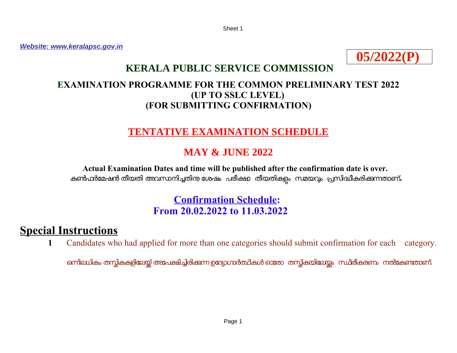Sheet 1

*Website: [www.keralapsc.gov.in](http://www.keralapsc.gov.in/)*



# **KERALA PUBLIC SERVICE COMMISSION**

### **EXAMINATION PROGRAMME FOR THE COMMON PRELIMINARY TEST 2022 (UP TO SSLC LEVEL) (FOR SUBMITTING CONFIRMATION)**

## **TENTATIVE EXAMINATION SCHEDULE**

# **MAY & JUNE 2022**

**Actual Examination Dates and time will be published after the confirmation date is over.**  കൺഫർമേഷൻ തീയതി അവസാനിച്ചതിന ശേഷം പരീക്ഷാ തീയതികളം സമയവും പ്രസിദ്ധീകരിക്കുന്നതാണ്**.** 

## **Confirmation Schedule: From 20.02.2022 to 11.03.2022**

# **Special Instructions**

**1** Candidates who had applied for more than one categories should submit confirmation for each category.

ഒന്നിലധികം തന്റ്റികകളിലേയ്ക്ക് അപേക്ഷിച്ചിരിക്കുന്ന ഉദ്യോഗാർത്ഥികൾ ഓരോ തന്റ്റികയിലേയ്യം സ്ഥിരീകരണം നൽകേണ്ടതാണ്.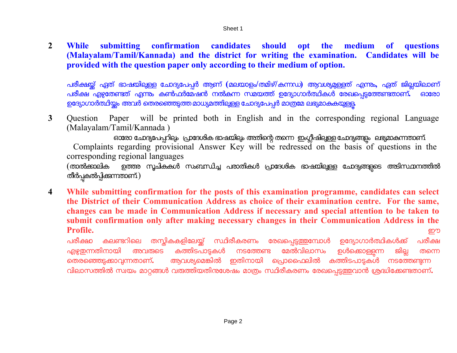**2 While submitting confirmation candidates should opt the medium of questions (Malayalam/Tamil/Kannada) and the district for writing the examination. Candidates will be provided with the question paper only according to their medium of option.**

പരീക്ഷയ്ക്ക് ഏത് ഭാഷയിലുള്ള ചോദ്യപേപ്പർ ആണ് (മലയാളം/തമിഴ്/കന്നഡ) ആവശ്യമുള്ളത് എന്നും, ഏത് ജില്ലയിലാണ് പരീക്ഷ എഴുതേണ്ടത് എന്നും കൺഫർമേഷൻ നൽകന്ന സമയത്ത് ഉദ്യോഗാർത്ഥികൾ രേഖപെട്ടത്തേണ്ടതാണ്**.** ഓരോ ഉദ്യോഗാർത്ഥിയ്യം അവർ തെരഞ്ഞെടുത്ത മാധ്യമത്തിലുള്ള ചോദ്യപേപ്പർ മാത്രമേ ലഭ്യമാകുകയുള്ള

**3** Question Paper will be printed both in English and in the corresponding regional Language (Malayalam/Tamil/Kannada )

ഓരോ ചോദ്യപേപ്പറിലും പ്രാദേശിക ഭാഷയിലും അതിന്റെ തന്നെ ഇംഗ്ലീഷിലുള്ള ചോദ്യങ്ങളും ലഭ്യമാകുന്നതാണ്. Complaints regarding provisional Answer Key will be redressed on the basis of questions in the corresponding regional languages

(താൽക്കാലിക ഉത്തര സൂചികകൾ സംബന്ധിച്ച പരാതികൾ പ്രാദേശിക ഭാഷയിലുള്ള ചോദ്യങ്ങളുടെ അടിസ്ഥാനത്തിൽ തീർപ്പകൽപ്പിക്കുന്നതാണ്.)

**4 While submitting confirmation for the posts of this examination programme, candidates can select the District of their Communication Address as choice of their examination centre. For the same, changes can be made in Communication Address if necessary and special attention to be taken to submit confirmation only after making necessary changes in their Communication Address in the Profile.** ഈ

പരീക്ഷാ കലണ്ടറിലെ തസ്തികകളിലേയ്ക്ക് സ്ഥിരീകരണം രേഖപ്പെടു<mark>ത്</mark>തമ്പോൾ ഉദ്യോഗാർത്ഥികൾക്ക് പരീക്ഷ<br>എഴ്ചതന്നതിനായി അവത്കടെ കത്തിടപാടകൾ നടത്തേണ്ട മേൽവിലാസം ഉൾക്കൊള്ളന്ന ജില്ല തന്നെ എഴു<mark>ഇന്നതിനായി അവരുടെ കത്തിടപാടുകൾ നടത്തേണ്ട മേ</mark>ൽവിലാസം ഉൾക്കൊള്ളുന്ന ജില്ല തന്നെ<br>തെരഞ്ഞെട്ടക്കാവ്വന്നതാണ്**.** ആവശ്യമെങ്കിൽ ഇതിനായി പ്രൊഫൈലിൽ കത്തിടപാട്ടകൾ നടത്തേണ്ടന്ന <u>ആവശ്യമെങ്കിൽ ഇതിനായി പ്രൊഫൈലിൽ കത്തിടപാട്</u>ടകൾ നടത്തേണ്ടന്ന വിലാസത്തിൽ സ്വയം മാറ്റങ്ങൾ വരുത്തിയതിന്ദശേഷം മാത്രം സ്ഥിരീകരണം രേഖപെട്ടത്തവാൻ ശ്രദ്ധിക്കേണ്ടതാണ്**.**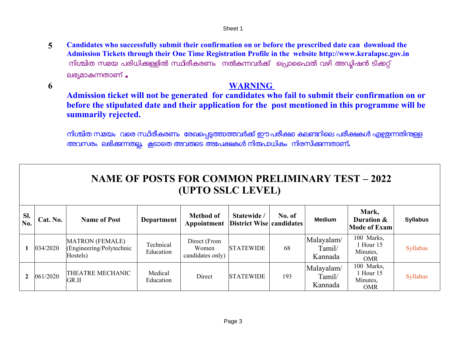**5 Candidates who successfully submit their confirmation on or before the prescribed date can download the Admission Tickets through their One Time Registration Profile in the website [http://www.keralapsc.gov.in](http://www.keralapsc.gov.in/)**  നിശ്ചിത സമയ പരിധിക്കള്ളിൽ സ്ഥിരീകരണം നൽകന്നവർക്ക് പ്രൊഫൈൽ വഴി അഡ്<u>ലി</u>ഷൻ ടിക്കറ്റ് ലഭ്യമാകുന്നതാണ് .

**6**

### **WARNING**

**Admission ticket will not be generated for candidates who fail to submit their confirmation on or before the stipulated date and their application for the post mentioned in this programme will be summarily rejected.**

നിശ്ചിത സമയം വരെ സ്ഥിരീകരണം രേഖപ്പെട്ടത്താത്തവർക്ക് ഈ പരീക്ഷ കലണ്ടറിലെ പരീക്ഷകൾ എഴുഇന്നതിനുള്ള അവസരം ലഭി കനതല **.** കടാെത അവരെട അേപകകള നി രപാധി കം നി രസി കനതാണ് **.**

|            | <b>NAME OF POSTS FOR COMMON PRELIMINARY TEST – 2022</b><br>(UPTO SSLC LEVEL) |                                                                |                        |                                           |                                                |        |                                 |                                                   |                 |  |  |
|------------|------------------------------------------------------------------------------|----------------------------------------------------------------|------------------------|-------------------------------------------|------------------------------------------------|--------|---------------------------------|---------------------------------------------------|-----------------|--|--|
| Sl.<br>No. | Cat. No.                                                                     | <b>Name of Post</b>                                            | <b>Department</b>      | <b>Method of</b><br>Appointment           | Statewide /<br><b>District Wise candidates</b> | No. of | <b>Medium</b>                   | Mark,<br>Duration &<br><b>Mode of Exam</b>        | <b>Syllabus</b> |  |  |
|            | 034/2020                                                                     | <b>MATRON</b> (FEMALE)<br>(Engineering/Polytechnic<br>Hostels) | Technical<br>Education | Direct (From<br>Women<br>candidates only) | <b>STATEWIDE</b>                               | 68     | Malayalam/<br>Tamil/<br>Kannada | 100 Marks,<br>1 Hour 15<br>Minutes,<br><b>OMR</b> | Syllabus        |  |  |
|            | 061/2020                                                                     | <b>THEATRE MECHANIC</b><br>GR.II                               | Medical<br>Education   | Direct                                    | <b>STATEWIDE</b>                               | 193    | Malayalam/<br>Tamil/<br>Kannada | 100 Marks,<br>1 Hour 15<br>Minutes,<br><b>OMR</b> | Syllabus        |  |  |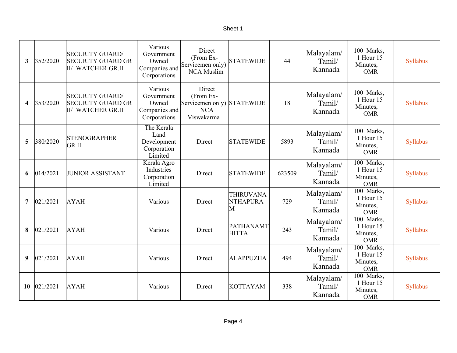| Τ<br>c<br>r<br>۱е |
|-------------------|
|-------------------|

| $\mathbf{3}$            | 352/2020 | <b>SECURITY GUARD</b><br><b>SECURITY GUARD GR</b><br>II/ WATCHER GR.II  | Various<br>Government<br>Owned<br>Companies and<br>Corporations | Direct<br>(From Ex-<br>Servicemen only)<br><b>NCA Muslim</b>                  | <b>STATEWIDE</b>                         | 44     | Malayalam/<br>Tamil/<br>Kannada | 100 Marks,<br>1 Hour 15<br>Minutes,<br><b>OMR</b> | Syllabus |
|-------------------------|----------|-------------------------------------------------------------------------|-----------------------------------------------------------------|-------------------------------------------------------------------------------|------------------------------------------|--------|---------------------------------|---------------------------------------------------|----------|
| $\overline{\mathbf{4}}$ | 353/2020 | <b>SECURITY GUARD/</b><br><b>SECURITY GUARD GR</b><br>II/ WATCHER GR.II | Various<br>Government<br>Owned<br>Companies and<br>Corporations | Direct<br>(From Ex-<br>Servicemen only) STATEWIDE<br><b>NCA</b><br>Viswakarma |                                          | 18     | Malayalam/<br>Tamil/<br>Kannada | 100 Marks,<br>1 Hour 15<br>Minutes,<br><b>OMR</b> | Syllabus |
| 5                       | 380/2020 | <b>STENOGRAPHER</b><br><b>GRII</b>                                      | The Kerala<br>Land<br>Development<br>Corporation<br>Limited     | Direct                                                                        | <b>STATEWIDE</b>                         | 5893   | Malayalam/<br>Tamil/<br>Kannada | 100 Marks,<br>1 Hour 15<br>Minutes,<br><b>OMR</b> | Syllabus |
| 6                       | 014/2021 | <b>JUNIOR ASSISTANT</b>                                                 | Kerala Agro<br>Industries<br>Corporation<br>Limited             | Direct                                                                        | <b>STATEWIDE</b>                         | 623509 | Malayalam/<br>Tamil/<br>Kannada | 100 Marks,<br>1 Hour 15<br>Minutes,<br><b>OMR</b> | Syllabus |
| 7                       | 021/2021 | <b>AYAH</b>                                                             | Various                                                         | Direct                                                                        | <b>THIRUVANA</b><br><b>NTHAPURA</b><br>M | 729    | Malayalam/<br>Tamil/<br>Kannada | 100 Marks,<br>1 Hour 15<br>Minutes,<br><b>OMR</b> | Syllabus |
| 8                       | 021/2021 | <b>AYAH</b>                                                             | Various                                                         | Direct                                                                        | PATHANAMT<br><b>HITTA</b>                | 243    | Malayalam/<br>Tamil/<br>Kannada | 100 Marks,<br>1 Hour 15<br>Minutes,<br><b>OMR</b> | Syllabus |
| 9                       | 021/2021 | <b>AYAH</b>                                                             | Various                                                         | Direct                                                                        | <b>ALAPPUZHA</b>                         | 494    | Malayalam/<br>Tamil/<br>Kannada | 100 Marks,<br>1 Hour 15<br>Minutes,<br><b>OMR</b> | Syllabus |
| 10                      | 021/2021 | <b>AYAH</b>                                                             | Various                                                         | Direct                                                                        | <b>KOTTAYAM</b>                          | 338    | Malayalam/<br>Tamil/<br>Kannada | 100 Marks,<br>1 Hour 15<br>Minutes,<br><b>OMR</b> | Syllabus |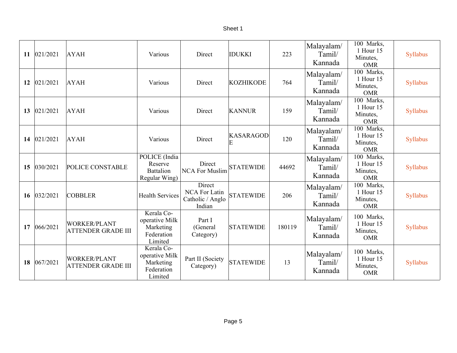| ۱e<br>r<br>œ |  |
|--------------|--|
|--------------|--|

| 11 | 021/2021 | <b>AYAH</b>                                      | Various                                                            | Direct                                                | <b>IDUKKI</b>         | 223    | Malayalam/<br>Tamil/<br>Kannada | 100 Marks,<br>1 Hour 15<br>Minutes,<br><b>OMR</b> | Syllabus |
|----|----------|--------------------------------------------------|--------------------------------------------------------------------|-------------------------------------------------------|-----------------------|--------|---------------------------------|---------------------------------------------------|----------|
| 12 | 021/2021 | <b>AYAH</b>                                      | Various                                                            | Direct                                                | <b>KOZHIKODE</b>      | 764    | Malayalam/<br>Tamil/<br>Kannada | 100 Marks,<br>1 Hour 15<br>Minutes,<br><b>OMR</b> | Syllabus |
| 13 | 021/2021 | <b>AYAH</b>                                      | Various                                                            | Direct                                                | <b>KANNUR</b>         | 159    | Malayalam/<br>Tamil/<br>Kannada | 100 Marks,<br>1 Hour 15<br>Minutes,<br><b>OMR</b> | Syllabus |
| 14 | 021/2021 | <b>AYAH</b>                                      | Various                                                            | Direct                                                | <b>KASARAGOD</b><br>E | 120    | Malayalam/<br>Tamil/<br>Kannada | 100 Marks,<br>1 Hour 15<br>Minutes,<br><b>OMR</b> | Syllabus |
| 15 | 030/2021 | POLICE CONSTABLE                                 | POLICE (India<br>Reserve<br><b>Battalion</b><br>Regular Wing)      | Direct<br><b>NCA For Muslim</b>                       | <b>STATEWIDE</b>      | 44692  | Malayalam/<br>Tamil/<br>Kannada | 100 Marks,<br>1 Hour 15<br>Minutes,<br><b>OMR</b> | Syllabus |
| 16 | 032/2021 | <b>COBBLER</b>                                   | <b>Health Services</b>                                             | Direct<br>NCA For Latin<br>Catholic / Anglo<br>Indian | <b>STATEWIDE</b>      | 206    | Malayalam/<br>Tamil/<br>Kannada | 100 Marks,<br>1 Hour 15<br>Minutes,<br><b>OMR</b> | Syllabus |
| 17 | 066/2021 | <b>WORKER/PLANT</b><br><b>ATTENDER GRADE III</b> | Kerala Co-<br>operative Milk<br>Marketing<br>Federation<br>Limited | Part I<br>(General<br>Category)                       | <b>STATEWIDE</b>      | 180119 | Malayalam/<br>Tamil/<br>Kannada | 100 Marks,<br>1 Hour 15<br>Minutes,<br><b>OMR</b> | Syllabus |
| 18 | 067/2021 | <b>WORKER/PLANT</b><br><b>ATTENDER GRADE III</b> | Kerala Co-<br>operative Milk<br>Marketing<br>Federation<br>Limited | Part II (Society<br>Category)                         | <b>STATEWIDE</b>      | 13     | Malayalam/<br>Tamil/<br>Kannada | 100 Marks,<br>1 Hour 15<br>Minutes,<br><b>OMR</b> | Syllabus |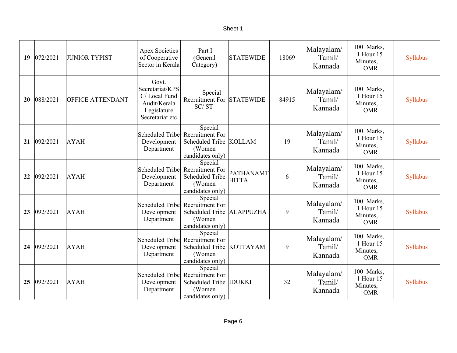#### Sheet 1

| 19              | 072/2021 | <b>JUNIOR TYPIST</b>    | <b>Apex Societies</b><br>of Cooperative<br>Sector in Kerala                                | Part I<br>(General<br>Category)                                                                    | <b>STATEWIDE</b>          | 18069 | Malayalam/<br>Tamil/<br>Kannada | 100 Marks,<br>1 Hour 15<br>Minutes,<br><b>OMR</b> | Syllabus |
|-----------------|----------|-------------------------|--------------------------------------------------------------------------------------------|----------------------------------------------------------------------------------------------------|---------------------------|-------|---------------------------------|---------------------------------------------------|----------|
| 20              | 088/2021 | <b>OFFICE ATTENDANT</b> | Govt.<br>Secretariat/KPS<br>C/Local Fund<br>Audit/Kerala<br>Legislature<br>Secretariat etc | Special<br>Recruitment For<br>SC/ST                                                                | <b>STATEWIDE</b>          | 84915 | Malayalam/<br>Tamil/<br>Kannada | 100 Marks,<br>1 Hour 15<br>Minutes,<br><b>OMR</b> | Syllabus |
| 21              | 092/2021 | <b>AYAH</b>             | Scheduled Tribe<br>Development<br>Department                                               | Special<br>Recruitment For<br>Scheduled Tribe KOLLAM<br>(Women<br>candidates only)                 |                           | 19    | Malayalam/<br>Tamil/<br>Kannada | 100 Marks,<br>1 Hour 15<br>Minutes,<br><b>OMR</b> | Syllabus |
| 22              | 092/2021 | <b>AYAH</b>             | Scheduled Tribe<br>Development<br>Department                                               | Special<br>Recruitment For<br><b>Scheduled Tribe</b><br>(Women<br>candidates only)                 | PATHANAMT<br><b>HITTA</b> | 6     | Malayalam/<br>Tamil/<br>Kannada | 100 Marks,<br>1 Hour 15<br>Minutes,<br><b>OMR</b> | Syllabus |
| 23              | 092/2021 | <b>AYAH</b>             | Development<br>Department                                                                  | Special<br>Scheduled Tribe Recruitment For<br><b>Scheduled Tribe</b><br>(Women<br>candidates only) | <b>ALAPPUZHA</b>          | 9     | Malayalam/<br>Tamil/<br>Kannada | 100 Marks,<br>1 Hour 15<br>Minutes,<br><b>OMR</b> | Syllabus |
| 24              | 092/2021 | <b>AYAH</b>             | Scheduled Tribe<br>Development<br>Department                                               | Special<br><b>Recruitment For</b><br>Scheduled Tribe KOTTAYAM<br>(Women<br>candidates only)        |                           | 9     | Malayalam/<br>Tamil/<br>Kannada | 100 Marks,<br>1 Hour 15<br>Minutes,<br><b>OMR</b> | Syllabus |
| 25 <sub>1</sub> | 092/2021 | <b>AYAH</b>             | Scheduled Tribe<br>Development<br>Department                                               | Special<br><b>Recruitment For</b><br>Scheduled Tribe IDUKKI<br>(Women<br>candidates only)          |                           | 32    | Malayalam/<br>Tamil/<br>Kannada | 100 Marks,<br>1 Hour 15<br>Minutes,<br><b>OMR</b> | Syllabus |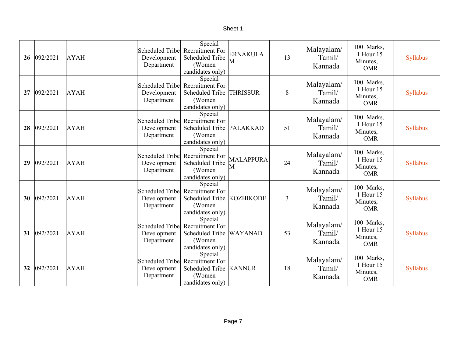| 26 | 092/2021 | <b>AYAH</b> | Scheduled Tribe<br>Development<br>Department | Special<br>Recruitment For<br><b>Scheduled Tribe</b><br>(Women<br>candidates only)            | <b>ERNAKULA</b><br>M  | 13 | Malayalam/<br>Tamil/<br>Kannada | 100 Marks,<br>1 Hour 15<br>Minutes,<br><b>OMR</b> | Syllabus |
|----|----------|-------------|----------------------------------------------|-----------------------------------------------------------------------------------------------|-----------------------|----|---------------------------------|---------------------------------------------------|----------|
| 27 | 092/2021 | <b>AYAH</b> | Scheduled Tribe<br>Development<br>Department | Special<br><b>Recruitment For</b><br><b>Scheduled Tribe</b><br>(Women)<br>candidates only)    | <b>THRISSUR</b>       | 8  | Malayalam/<br>Tamil/<br>Kannada | 100 Marks,<br>1 Hour 15<br>Minutes,<br><b>OMR</b> | Syllabus |
| 28 | 092/2021 | <b>AYAH</b> | Scheduled Tribe<br>Development<br>Department | Special<br><b>Recruitment For</b><br>Scheduled Tribe PALAKKAD<br>(Women<br>candidates only)   |                       | 51 | Malayalam/<br>Tamil/<br>Kannada | 100 Marks,<br>1 Hour 15<br>Minutes,<br><b>OMR</b> | Syllabus |
| 29 | 092/2021 | <b>AYAH</b> | Scheduled Tribe<br>Development<br>Department | Special<br>Recruitment For<br><b>Scheduled Tribe</b><br>(Women<br>candidates only)            | <b>MALAPPURA</b><br>M | 24 | Malayalam/<br>Tamil/<br>Kannada | 100 Marks,<br>1 Hour 15<br>Minutes,<br><b>OMR</b> | Syllabus |
| 30 | 092/2021 | <b>AYAH</b> | Scheduled Tribe<br>Development<br>Department | Special<br><b>Recruitment For</b><br>Scheduled Tribe KOZHIKODE<br>(Women)<br>candidates only) |                       | 3  | Malayalam/<br>Tamil/<br>Kannada | 100 Marks,<br>1 Hour 15<br>Minutes,<br><b>OMR</b> | Syllabus |
| 31 | 092/2021 | <b>AYAH</b> | Scheduled Tribe<br>Development<br>Department | Special<br>Recruitment For<br>Scheduled Tribe<br>(Women<br>candidates only)                   | <b>WAYANAD</b>        | 53 | Malayalam/<br>Tamil/<br>Kannada | 100 Marks,<br>1 Hour 15<br>Minutes,<br><b>OMR</b> | Syllabus |
| 32 | 092/2021 | <b>AYAH</b> | Scheduled Tribe<br>Development<br>Department | Special<br><b>Recruitment For</b><br>Scheduled Tribe   KANNUR<br>(Women<br>candidates only)   |                       | 18 | Malayalam/<br>Tamil/<br>Kannada | 100 Marks,<br>1 Hour 15<br>Minutes,<br><b>OMR</b> | Syllabus |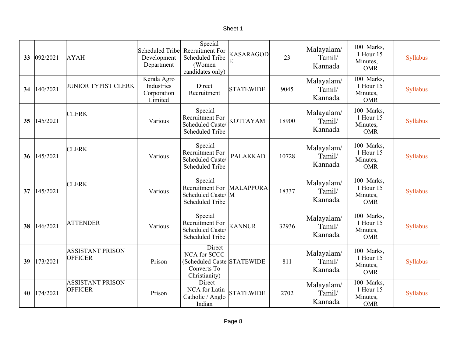| 33 <sup>2</sup> | 092/2021 | <b>AYAH</b>                               | Scheduled Tribe<br>Development<br>Department        | Special<br>Recruitment For<br><b>Scheduled Tribe</b><br>(Women<br>candidates only)   | <b>KASARAGOD</b><br>E | 23    | Malayalam/<br>Tamil/<br>Kannada | 100 Marks,<br>1 Hour 15<br>Minutes,<br><b>OMR</b>              | Syllabus |
|-----------------|----------|-------------------------------------------|-----------------------------------------------------|--------------------------------------------------------------------------------------|-----------------------|-------|---------------------------------|----------------------------------------------------------------|----------|
| 34              | 140/2021 | <b>JUNIOR TYPIST CLERK</b>                | Kerala Agro<br>Industries<br>Corporation<br>Limited | Direct<br>Recruitment                                                                | <b>STATEWIDE</b>      | 9045  | Malayalam/<br>Tamil/<br>Kannada | $\overline{100}$ Marks,<br>1 Hour 15<br>Minutes,<br><b>OMR</b> | Syllabus |
| 35 <sub>1</sub> | 145/2021 | <b>CLERK</b>                              | Various                                             | Special<br>Recruitment For<br>Scheduled Caste/<br><b>Scheduled Tribe</b>             | <b>KOTTAYAM</b>       | 18900 | Malayalam/<br>Tamil/<br>Kannada | 100 Marks,<br>1 Hour 15<br>Minutes,<br><b>OMR</b>              | Syllabus |
| 36              | 145/2021 | <b>CLERK</b>                              | Various                                             | Special<br>Recruitment For<br>Scheduled Caste/<br><b>Scheduled Tribe</b>             | <b>PALAKKAD</b>       | 10728 | Malayalam/<br>Tamil/<br>Kannada | 100 Marks,<br>1 Hour 15<br>Minutes,<br><b>OMR</b>              | Syllabus |
| 37              | 145/2021 | <b>CLERK</b>                              | Various                                             | Special<br>Recruitment For<br>Scheduled Caste/ M<br><b>Scheduled Tribe</b>           | <b>MALAPPURA</b>      | 18337 | Malayalam/<br>Tamil/<br>Kannada | 100 Marks,<br>1 Hour 15<br>Minutes,<br><b>OMR</b>              | Syllabus |
| 38              | 146/2021 | <b>ATTENDER</b>                           | Various                                             | Special<br>Recruitment For<br>Scheduled Caste/<br><b>Scheduled Tribe</b>             | <b>KANNUR</b>         | 32936 | Malayalam/<br>Tamil/<br>Kannada | 100 Marks,<br>1 Hour 15<br>Minutes,<br><b>OMR</b>              | Syllabus |
| 39              | 173/2021 | <b>ASSISTANT PRISON</b><br><b>OFFICER</b> | Prison                                              | Direct<br>NCA for SCCC<br>(Scheduled Caste STATEWIDE<br>Converts To<br>Christianity) |                       | 811   | Malayalam/<br>Tamil/<br>Kannada | 100 Marks,<br>1 Hour 15<br>Minutes,<br><b>OMR</b>              | Syllabus |
| 40              | 174/2021 | <b>ASSISTANT PRISON</b><br><b>OFFICER</b> | Prison                                              | Direct<br>NCA for Latin<br>Catholic / Anglo<br>Indian                                | <b>STATEWIDE</b>      | 2702  | Malayalam/<br>Tamil/<br>Kannada | 100 Marks,<br>1 Hour 15<br>Minutes,<br><b>OMR</b>              | Syllabus |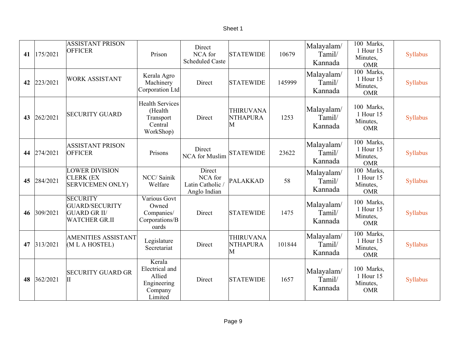| 41 | 175/2021    | <b>ASSISTANT PRISON</b><br><b>OFFICER</b>                                        | Prison                                                                  | Direct<br>NCA for<br><b>Scheduled Caste</b>         | <b>STATEWIDE</b>                         | 10679  | Malayalam/<br>Tamil/<br>Kannada | 100 Marks,<br>1 Hour 15<br>Minutes,<br><b>OMR</b> | Syllabus |
|----|-------------|----------------------------------------------------------------------------------|-------------------------------------------------------------------------|-----------------------------------------------------|------------------------------------------|--------|---------------------------------|---------------------------------------------------|----------|
| 42 | 223/2021    | <b>WORK ASSISTANT</b>                                                            | Kerala Agro<br>Machinery<br>Corporation Ltd                             | Direct                                              | <b>STATEWIDE</b>                         | 145999 | Malayalam/<br>Tamil/<br>Kannada | 100 Marks,<br>1 Hour 15<br>Minutes,<br><b>OMR</b> | Syllabus |
| 43 | 262/2021    | <b>SECURITY GUARD</b>                                                            | <b>Health Services</b><br>(Health<br>Transport<br>Central<br>WorkShop)  | Direct                                              | <b>THIRUVANA</b><br><b>NTHAPURA</b><br>M | 1253   | Malayalam/<br>Tamil/<br>Kannada | 100 Marks,<br>1 Hour 15<br>Minutes,<br><b>OMR</b> | Syllabus |
|    | 44 274/2021 | <b>ASSISTANT PRISON</b><br><b>OFFICER</b>                                        | Prisons                                                                 | Direct<br><b>NCA</b> for Muslim                     | <b>STATEWIDE</b>                         | 23622  | Malayalam/<br>Tamil/<br>Kannada | 100 Marks,<br>1 Hour 15<br>Minutes,<br><b>OMR</b> | Syllabus |
| 45 | 284/2021    | <b>LOWER DIVISION</b><br><b>CLERK (EX</b><br><b>SERVICEMEN ONLY)</b>             | NCC/ Sainik<br>Welfare                                                  | Direct<br>NCA for<br>Latin Catholic<br>Anglo Indian | PALAKKAD                                 | 58     | Malayalam/<br>Tamil/<br>Kannada | 100 Marks,<br>1 Hour 15<br>Minutes,<br><b>OMR</b> | Syllabus |
| 46 | 309/2021    | <b>SECURITY</b><br>GUARD/SECURITY<br><b>GUARD GR II/</b><br><b>WATCHER GR.II</b> | Various Govt<br>Owned<br>Companies/<br>Corporations/B<br>oards          | Direct                                              | <b>STATEWIDE</b>                         | 1475   | Malayalam/<br>Tamil/<br>Kannada | 100 Marks,<br>1 Hour 15<br>Minutes,<br><b>OMR</b> | Syllabus |
| 47 | 313/2021    | <b>AMENITIES ASSISTANT</b><br>(MLAHOSTEL)                                        | Legislature<br>Secretariat                                              | Direct                                              | <b>THIRUVANA</b><br><b>NTHAPURA</b><br>M | 101844 | Malayalam/<br>Tamil/<br>Kannada | 100 Marks,<br>1 Hour 15<br>Minutes,<br><b>OMR</b> | Syllabus |
| 48 | 362/2021    | <b>SECURITY GUARD GR</b><br>$\vert \mathrm{II} \vert$                            | Kerala<br>Electrical and<br>Allied<br>Engineering<br>Company<br>Limited | Direct                                              | <b>STATEWIDE</b>                         | 1657   | Malayalam/<br>Tamil/<br>Kannada | 100 Marks,<br>1 Hour 15<br>Minutes,<br><b>OMR</b> | Syllabus |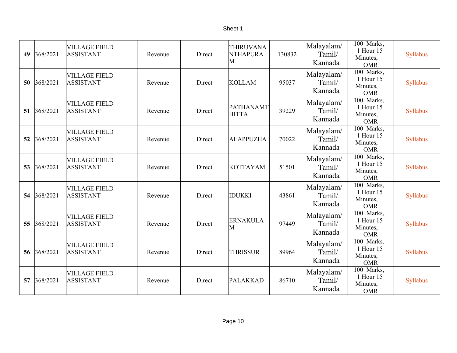| 49 | 368/2021 | <b>VILLAGE FIELD</b><br><b>ASSISTANT</b> | Revenue | Direct | <b>THIRUVANA</b><br><b>NTHAPURA</b><br>M | 130832 | Malayalam/<br>Tamil/<br>Kannada | 100 Marks,<br>1 Hour 15<br>Minutes,<br><b>OMR</b>              | Syllabus        |
|----|----------|------------------------------------------|---------|--------|------------------------------------------|--------|---------------------------------|----------------------------------------------------------------|-----------------|
| 50 | 368/2021 | <b>VILLAGE FIELD</b><br><b>ASSISTANT</b> | Revenue | Direct | <b>KOLLAM</b>                            | 95037  | Malayalam/<br>Tamil/<br>Kannada | 100 Marks,<br>1 Hour 15<br>Minutes,<br><b>OMR</b>              | Syllabus        |
| 51 | 368/2021 | <b>VILLAGE FIELD</b><br><b>ASSISTANT</b> | Revenue | Direct | PATHANAMT<br><b>HITTA</b>                | 39229  | Malayalam/<br>Tamil/<br>Kannada | $\overline{100}$ Marks,<br>1 Hour 15<br>Minutes,<br><b>OMR</b> | Syllabus        |
| 52 | 368/2021 | <b>VILLAGE FIELD</b><br><b>ASSISTANT</b> | Revenue | Direct | <b>ALAPPUZHA</b>                         | 70022  | Malayalam/<br>Tamil/<br>Kannada | 100 Marks,<br>1 Hour 15<br>Minutes,<br><b>OMR</b>              | Syllabus        |
| 53 | 368/2021 | <b>VILLAGE FIELD</b><br><b>ASSISTANT</b> | Revenue | Direct | <b>KOTTAYAM</b>                          | 51501  | Malayalam/<br>Tamil/<br>Kannada | 100 Marks,<br>1 Hour 15<br>Minutes,<br><b>OMR</b>              | Syllabus        |
| 54 | 368/2021 | <b>VILLAGE FIELD</b><br><b>ASSISTANT</b> | Revenue | Direct | <b>IDUKKI</b>                            | 43861  | Malayalam/<br>Tamil/<br>Kannada | 100 Marks,<br>1 Hour 15<br>Minutes,<br><b>OMR</b>              | <b>Syllabus</b> |
| 55 | 368/2021 | <b>VILLAGE FIELD</b><br><b>ASSISTANT</b> | Revenue | Direct | <b>ERNAKULA</b><br>M                     | 97449  | Malayalam/<br>Tamil/<br>Kannada | 100 Marks,<br>1 Hour 15<br>Minutes,<br><b>OMR</b>              | Syllabus        |
| 56 | 368/2021 | <b>VILLAGE FIELD</b><br><b>ASSISTANT</b> | Revenue | Direct | <b>THRISSUR</b>                          | 89964  | Malayalam/<br>Tamil/<br>Kannada | 100 Marks,<br>1 Hour 15<br>Minutes,<br><b>OMR</b>              | Syllabus        |
| 57 | 368/2021 | <b>VILLAGE FIELD</b><br><b>ASSISTANT</b> | Revenue | Direct | PALAKKAD                                 | 86710  | Malayalam/<br>Tamil/<br>Kannada | 100 Marks,<br>1 Hour 15<br>Minutes,<br><b>OMR</b>              | Syllabus        |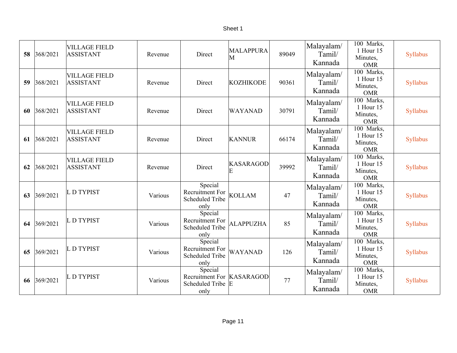#### Sheet 1

| 58 | 368/2021    | <b>VILLAGE FIELD</b><br><b>ASSISTANT</b> | Revenue | Direct                                                                 | <b>MALAPPURA</b><br>M | 89049 | Malayalam/<br>Tamil/<br>Kannada | 100 Marks,<br>1 Hour 15<br>Minutes,<br><b>OMR</b>              | Syllabus |
|----|-------------|------------------------------------------|---------|------------------------------------------------------------------------|-----------------------|-------|---------------------------------|----------------------------------------------------------------|----------|
| 59 | 368/2021    | <b>VILLAGE FIELD</b><br><b>ASSISTANT</b> | Revenue | Direct                                                                 | <b>KOZHIKODE</b>      | 90361 | Malayalam/<br>Tamil/<br>Kannada | $\overline{100}$ Marks,<br>1 Hour 15<br>Minutes,<br><b>OMR</b> | Syllabus |
| 60 | 368/2021    | <b>VILLAGE FIELD</b><br><b>ASSISTANT</b> | Revenue | Direct                                                                 | <b>WAYANAD</b>        | 30791 | Malayalam/<br>Tamil/<br>Kannada | 100 Marks,<br>1 Hour 15<br>Minutes,<br><b>OMR</b>              | Syllabus |
| 61 | 368/2021    | <b>VILLAGE FIELD</b><br><b>ASSISTANT</b> | Revenue | Direct                                                                 | <b>KANNUR</b>         | 66174 | Malayalam/<br>Tamil/<br>Kannada | 100 Marks,<br>1 Hour 15<br>Minutes,<br><b>OMR</b>              | Syllabus |
| 62 | 368/2021    | <b>VILLAGE FIELD</b><br><b>ASSISTANT</b> | Revenue | Direct                                                                 | <b>KASARAGOD</b><br>E | 39992 | Malayalam/<br>Tamil/<br>Kannada | 100 Marks,<br>1 Hour 15<br>Minutes,<br><b>OMR</b>              | Syllabus |
| 63 | 369/2021    | L D TYPIST                               | Various | Special<br>Recruitment For<br><b>Scheduled Tribe</b><br>only           | <b>KOLLAM</b>         | 47    | Malayalam/<br>Tamil/<br>Kannada | 100 Marks,<br>1 Hour 15<br>Minutes,<br><b>OMR</b>              | Syllabus |
|    | 64 369/2021 | L D TYPIST                               | Various | Special<br>Recruitment For<br><b>Scheduled Tribe</b><br>only           | <b>ALAPPUZHA</b>      | 85    | Malayalam/<br>Tamil/<br>Kannada | 100 Marks,<br>1 Hour 15<br>Minutes,<br><b>OMR</b>              | Syllabus |
| 65 | 369/2021    | L D TYPIST                               | Various | Special<br>Recruitment For<br><b>Scheduled Tribe</b><br>only           | <b>WAYANAD</b>        | 126   | Malayalam/<br>Tamil/<br>Kannada | 100 Marks,<br>1 Hour 15<br>Minutes,<br><b>OMR</b>              | Syllabus |
|    | 66 369/2021 | L D TYPIST                               | Various | Special<br>Recruitment For KASARAGOD<br><b>Scheduled Tribe</b><br>only | E                     | 77    | Malayalam/<br>Tamil/<br>Kannada | 100 Marks,<br>1 Hour 15<br>Minutes,<br><b>OMR</b>              | Syllabus |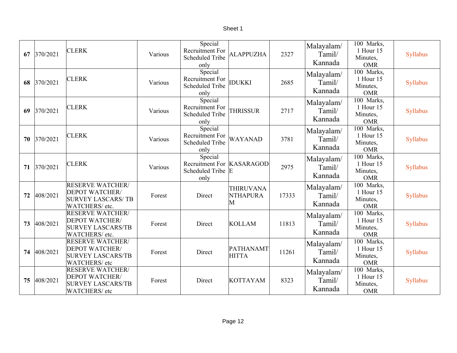| 67 | 370/2021    | <b>CLERK</b>                                                                                  | Various | Special<br>Recruitment For<br><b>Scheduled Tribe</b><br>only      | <b>ALAPPUZHA</b>                         | 2327  | Malayalam/<br>Tamil/<br>Kannada | 100 Marks,<br>1 Hour 15<br>Minutes,<br><b>OMR</b>              | Syllabus |
|----|-------------|-----------------------------------------------------------------------------------------------|---------|-------------------------------------------------------------------|------------------------------------------|-------|---------------------------------|----------------------------------------------------------------|----------|
| 68 | 370/2021    | <b>CLERK</b>                                                                                  | Various | Special<br>Recruitment For<br><b>Scheduled Tribe</b><br>only      | <b>IDUKKI</b>                            | 2685  | Malayalam/<br>Tamil/<br>Kannada | 100 Marks,<br>1 Hour 15<br>Minutes,<br><b>OMR</b>              | Syllabus |
| 69 | 370/2021    | <b>CLERK</b>                                                                                  | Various | Special<br>Recruitment For<br><b>Scheduled Tribe</b><br>only      | <b>THRISSUR</b>                          | 2717  | Malayalam/<br>Tamil/<br>Kannada | 100 Marks,<br>1 Hour 15<br>Minutes,<br><b>OMR</b>              | Syllabus |
| 70 | 370/2021    | <b>CLERK</b>                                                                                  | Various | Special<br>Recruitment For<br><b>Scheduled Tribe</b><br>only      | <b>WAYANAD</b>                           | 3781  | Malayalam/<br>Tamil/<br>Kannada | 100 Marks,<br>1 Hour 15<br>Minutes,<br><b>OMR</b>              | Syllabus |
|    | 71 370/2021 | <b>CLERK</b>                                                                                  | Various | Special<br>Recruitment For KASARAGOD<br>Scheduled Tribe E<br>only |                                          | 2975  | Malayalam/<br>Tamil/<br>Kannada | $\overline{100}$ Marks,<br>1 Hour 15<br>Minutes,<br><b>OMR</b> | Syllabus |
| 72 | 408/2021    | <b>RESERVE WATCHER/</b><br><b>DEPOT WATCHER/</b><br><b>SURVEY LASCARS/TB</b><br>WATCHERS/etc. | Forest  | Direct                                                            | <b>THIRUVANA</b><br><b>NTHAPURA</b><br>M | 17333 | Malayalam/<br>Tamil/<br>Kannada | 100 Marks,<br>1 Hour 15<br>Minutes,<br><b>OMR</b>              | Syllabus |
| 73 | 408/2021    | <b>RESERVE WATCHER/</b><br><b>DEPOT WATCHER/</b><br><b>SURVEY LASCARS/TB</b><br>WATCHERS/etc. | Forest  | Direct                                                            | <b>KOLLAM</b>                            | 11813 | Malayalam/<br>Tamil/<br>Kannada | 100 Marks,<br>1 Hour 15<br>Minutes,<br><b>OMR</b>              | Syllabus |
| 74 | 408/2021    | <b>RESERVE WATCHER/</b><br><b>DEPOT WATCHER/</b><br><b>SURVEY LASCARS/TB</b><br>WATCHERS/etc  | Forest  | Direct                                                            | PATHANAMT<br><b>HITTA</b>                | 11261 | Malayalam/<br>Tamil/<br>Kannada | 100 Marks,<br>1 Hour 15<br>Minutes,<br><b>OMR</b>              | Syllabus |
| 75 | 408/2021    | <b>RESERVE WATCHER/</b><br><b>DEPOT WATCHER/</b><br><b>SURVEY LASCARS/TB</b><br>WATCHERS/etc  | Forest  | Direct                                                            | <b>KOTTAYAM</b>                          | 8323  | Malayalam/<br>Tamil/<br>Kannada | $\overline{100}$ Marks,<br>1 Hour 15<br>Minutes,<br><b>OMR</b> | Syllabus |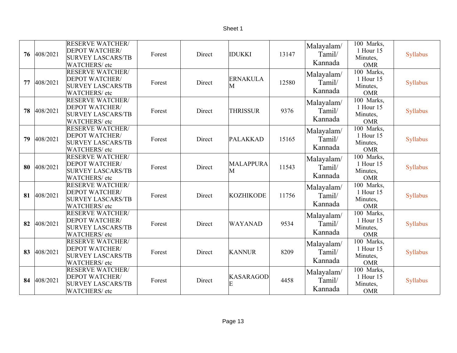| Τ<br>c<br>r<br>۱е |
|-------------------|
|-------------------|

| 76 | 408/2021 | <b>RESERVE WATCHER/</b><br><b>DEPOT WATCHER/</b><br><b>SURVEY LASCARS/TB</b><br><b>WATCHERS/ etc</b> | Forest | Direct | <b>IDUKKI</b>         | 13147 | Malayalam/<br>Tamil/<br>Kannada | 100 Marks,<br>1 Hour 15<br>Minutes,<br><b>OMR</b> | Syllabus |
|----|----------|------------------------------------------------------------------------------------------------------|--------|--------|-----------------------|-------|---------------------------------|---------------------------------------------------|----------|
| 77 | 408/2021 | <b>RESERVE WATCHER/</b><br><b>DEPOT WATCHER/</b><br><b>SURVEY LASCARS/TB</b><br><b>WATCHERS/ etc</b> | Forest | Direct | <b>ERNAKULA</b><br>M  | 12580 | Malayalam/<br>Tamil/<br>Kannada | 100 Marks,<br>1 Hour 15<br>Minutes,<br><b>OMR</b> | Syllabus |
| 78 | 408/2021 | <b>RESERVE WATCHER/</b><br><b>DEPOT WATCHER/</b><br><b>SURVEY LASCARS/TB</b><br>WATCHERS/etc         | Forest | Direct | <b>THRISSUR</b>       | 9376  | Malayalam/<br>Tamil/<br>Kannada | 100 Marks,<br>1 Hour 15<br>Minutes,<br><b>OMR</b> | Syllabus |
| 79 | 408/2021 | <b>RESERVE WATCHER/</b><br><b>DEPOT WATCHER/</b><br><b>SURVEY LASCARS/TB</b><br>WATCHERS/etc         | Forest | Direct | <b>PALAKKAD</b>       | 15165 | Malayalam/<br>Tamil/<br>Kannada | 100 Marks,<br>1 Hour 15<br>Minutes,<br><b>OMR</b> | Syllabus |
| 80 | 408/2021 | <b>RESERVE WATCHER/</b><br><b>DEPOT WATCHER/</b><br><b>SURVEY LASCARS/TB</b><br>WATCHERS/etc         | Forest | Direct | <b>MALAPPURA</b><br>M | 11543 | Malayalam/<br>Tamil/<br>Kannada | 100 Marks,<br>1 Hour 15<br>Minutes,<br><b>OMR</b> | Syllabus |
| 81 | 408/2021 | <b>RESERVE WATCHER/</b><br><b>DEPOT WATCHER/</b><br><b>SURVEY LASCARS/TB</b><br>WATCHERS/etc         | Forest | Direct | <b>KOZHIKODE</b>      | 11756 | Malayalam/<br>Tamil/<br>Kannada | 100 Marks,<br>1 Hour 15<br>Minutes,<br><b>OMR</b> | Syllabus |
| 82 | 408/2021 | <b>RESERVE WATCHER/</b><br>DEPOT WATCHER/<br><b>SURVEY LASCARS/TB</b><br>WATCHERS/etc                | Forest | Direct | WAYANAD               | 9534  | Malayalam/<br>Tamil/<br>Kannada | 100 Marks,<br>1 Hour 15<br>Minutes,<br><b>OMR</b> | Syllabus |
| 83 | 408/2021 | <b>RESERVE WATCHER/</b><br><b>DEPOT WATCHER/</b><br><b>SURVEY LASCARS/TB</b><br>WATCHERS/etc         | Forest | Direct | <b>KANNUR</b>         | 8209  | Malayalam/<br>Tamil/<br>Kannada | 100 Marks,<br>1 Hour 15<br>Minutes,<br><b>OMR</b> | Syllabus |
| 84 | 408/2021 | <b>RESERVE WATCHER/</b><br><b>DEPOT WATCHER/</b><br><b>SURVEY LASCARS/TB</b><br>WATCHERS/etc         | Forest | Direct | <b>KASARAGOD</b><br>Е | 4458  | Malayalam/<br>Tamil/<br>Kannada | 100 Marks,<br>1 Hour 15<br>Minutes,<br><b>OMR</b> | Syllabus |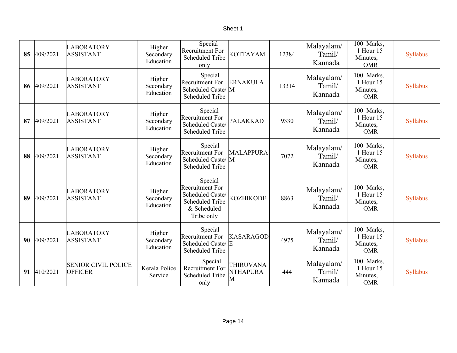| 85 | 409/2021 | <b>LABORATORY</b><br><b>ASSISTANT</b>        | Higher<br>Secondary<br>Education | Special<br><b>Recruitment For</b><br><b>Scheduled Tribe</b><br>only                                          | <b>KOTTAYAM</b>                          | 12384 | Malayalam/<br>Tamil/<br>Kannada | 100 Marks,<br>1 Hour 15<br>Minutes,<br><b>OMR</b> | Syllabus |
|----|----------|----------------------------------------------|----------------------------------|--------------------------------------------------------------------------------------------------------------|------------------------------------------|-------|---------------------------------|---------------------------------------------------|----------|
| 86 | 409/2021 | <b>LABORATORY</b><br><b>ASSISTANT</b>        | Higher<br>Secondary<br>Education | Special<br>Recruitment For<br>Scheduled Caste/ M<br><b>Scheduled Tribe</b>                                   | <b>ERNAKULA</b>                          | 13314 | Malayalam/<br>Tamil/<br>Kannada | 100 Marks,<br>1 Hour 15<br>Minutes,<br><b>OMR</b> | Syllabus |
| 87 | 409/2021 | <b>LABORATORY</b><br><b>ASSISTANT</b>        | Higher<br>Secondary<br>Education | Special<br>Recruitment For<br>Scheduled Caste/<br><b>Scheduled Tribe</b>                                     | <b>PALAKKAD</b>                          | 9330  | Malayalam/<br>Tamil/<br>Kannada | 100 Marks,<br>1 Hour 15<br>Minutes,<br><b>OMR</b> | Syllabus |
| 88 | 409/2021 | <b>LABORATORY</b><br><b>ASSISTANT</b>        | Higher<br>Secondary<br>Education | Special<br><b>Recruitment For</b><br>Scheduled Caste/ M<br><b>Scheduled Tribe</b>                            | <b>MALAPPURA</b>                         | 7072  | Malayalam/<br>Tamil/<br>Kannada | 100 Marks,<br>1 Hour 15<br>Minutes,<br><b>OMR</b> | Syllabus |
| 89 | 409/2021 | <b>LABORATORY</b><br><b>ASSISTANT</b>        | Higher<br>Secondary<br>Education | Special<br><b>Recruitment For</b><br>Scheduled Caste/<br><b>Scheduled Tribe</b><br>& Scheduled<br>Tribe only | <b>KOZHIKODE</b>                         | 8863  | Malayalam/<br>Tamil/<br>Kannada | 100 Marks,<br>1 Hour 15<br>Minutes,<br><b>OMR</b> | Syllabus |
| 90 | 409/2021 | <b>LABORATORY</b><br><b>ASSISTANT</b>        | Higher<br>Secondary<br>Education | Special<br><b>Recruitment For</b><br>Scheduled Caste/ E<br><b>Scheduled Tribe</b>                            | <b>KASARAGOD</b>                         | 4975  | Malayalam/<br>Tamil/<br>Kannada | 100 Marks,<br>1 Hour 15<br>Minutes,<br><b>OMR</b> | Syllabus |
| 91 | 410/2021 | <b>SENIOR CIVIL POLICE</b><br><b>OFFICER</b> | Kerala Police<br>Service         | Special<br><b>Recruitment For</b><br><b>Scheduled Tribe</b><br>only                                          | <b>THIRUVANA</b><br><b>NTHAPURA</b><br>М | 444   | Malayalam/<br>Tamil/<br>Kannada | 100 Marks,<br>1 Hour 15<br>Minutes,<br><b>OMR</b> | Syllabus |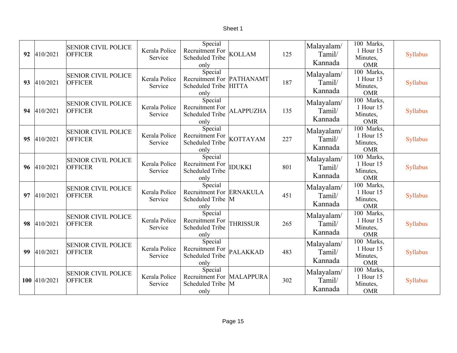| 92 | 410/2021     | <b>SENIOR CIVIL POLICE</b><br><b>OFFICER</b> | Kerala Police<br>Service | Special<br>Recruitment For<br><b>Scheduled Tribe</b><br>only          | <b>KOLLAM</b>    | 125 | Malayalam/<br>Tamil/<br>Kannada | $\overline{100}$ Marks,<br>1 Hour 15<br>Minutes,<br><b>OMR</b> | Syllabus |
|----|--------------|----------------------------------------------|--------------------------|-----------------------------------------------------------------------|------------------|-----|---------------------------------|----------------------------------------------------------------|----------|
| 93 | 410/2021     | <b>SENIOR CIVIL POLICE</b><br><b>OFFICER</b> | Kerala Police<br>Service | Special<br>Recruitment For PATHANAMT<br>Scheduled Tribe HITTA<br>only |                  | 187 | Malayalam/<br>Tamil/<br>Kannada | $\overline{100}$ Marks,<br>1 Hour 15<br>Minutes,<br><b>OMR</b> | Syllabus |
|    | 94 410/2021  | <b>SENIOR CIVIL POLICE</b><br><b>OFFICER</b> | Kerala Police<br>Service | Special<br>Recruitment For<br><b>Scheduled Tribe</b><br>only          | <b>ALAPPUZHA</b> | 135 | Malayalam/<br>Tamil/<br>Kannada | 100 Marks,<br>1 Hour 15<br>Minutes,<br><b>OMR</b>              | Syllabus |
| 95 | 410/2021     | <b>SENIOR CIVIL POLICE</b><br><b>OFFICER</b> | Kerala Police<br>Service | Special<br>Recruitment For<br><b>Scheduled Tribe</b><br>only          | <b>KOTTAYAM</b>  | 227 | Malayalam/<br>Tamil/<br>Kannada | 100 Marks,<br>1 Hour 15<br>Minutes,<br><b>OMR</b>              | Syllabus |
|    | 96 410/2021  | <b>SENIOR CIVIL POLICE</b><br><b>OFFICER</b> | Kerala Police<br>Service | Special<br>Recruitment For<br><b>Scheduled Tribe</b><br>only          | <b>IDUKKI</b>    | 801 | Malayalam/<br>Tamil/<br>Kannada | 100 Marks,<br>1 Hour 15<br>Minutes,<br><b>OMR</b>              | Syllabus |
| 97 | 410/2021     | <b>SENIOR CIVIL POLICE</b><br><b>OFFICER</b> | Kerala Police<br>Service | Special<br>Recruitment For ERNAKULA<br>Scheduled Tribe M<br>only      |                  | 451 | Malayalam/<br>Tamil/<br>Kannada | $\overline{100}$ Marks,<br>1 Hour 15<br>Minutes,<br><b>OMR</b> | Syllabus |
| 98 | 410/2021     | <b>SENIOR CIVIL POLICE</b><br><b>OFFICER</b> | Kerala Police<br>Service | Special<br>Recruitment For<br><b>Scheduled Tribe</b><br>only          | <b>THRISSUR</b>  | 265 | Malayalam/<br>Tamil/<br>Kannada | 100 Marks,<br>1 Hour 15<br>Minutes,<br><b>OMR</b>              | Syllabus |
| 99 | 410/2021     | <b>SENIOR CIVIL POLICE</b><br><b>OFFICER</b> | Kerala Police<br>Service | Special<br>Recruitment For<br><b>Scheduled Tribe</b><br>only          | PALAKKAD         | 483 | Malayalam/<br>Tamil/<br>Kannada | $\overline{100}$ Marks,<br>1 Hour 15<br>Minutes,<br><b>OMR</b> | Syllabus |
|    | 100 410/2021 | <b>SENIOR CIVIL POLICE</b><br><b>OFFICER</b> | Kerala Police<br>Service | Special<br>Recruitment For MALAPPURA<br>Scheduled Tribe M<br>only     |                  | 302 | Malayalam/<br>Tamil/<br>Kannada | 100 Marks,<br>1 Hour 15<br>Minutes,<br><b>OMR</b>              | Syllabus |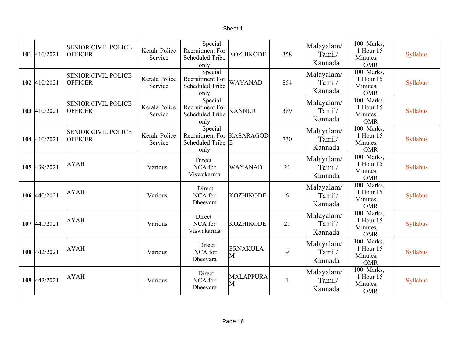| 101 410/2021 | <b>SENIOR CIVIL POLICE</b><br><b>OFFICER</b> | Kerala Police<br>Service | Special<br>Recruitment For<br><b>Scheduled Tribe</b><br>only      | <b>KOZHIKODE</b>     | 358 | Malayalam/<br>Tamil/<br>Kannada | 100 Marks,<br>1 Hour 15<br>Minutes,<br><b>OMR</b>              | Syllabus |
|--------------|----------------------------------------------|--------------------------|-------------------------------------------------------------------|----------------------|-----|---------------------------------|----------------------------------------------------------------|----------|
| 102 410/2021 | <b>SENIOR CIVIL POLICE</b><br><b>OFFICER</b> | Kerala Police<br>Service | Special<br>Recruitment For<br><b>Scheduled Tribe</b><br>only      | <b>WAYANAD</b>       | 854 | Malayalam/<br>Tamil/<br>Kannada | $\overline{100}$ Marks,<br>1 Hour 15<br>Minutes,<br><b>OMR</b> | Syllabus |
| 103 410/2021 | <b>SENIOR CIVIL POLICE</b><br><b>OFFICER</b> | Kerala Police<br>Service | Special<br>Recruitment For<br><b>Scheduled Tribe</b><br>only      | <b>KANNUR</b>        | 389 | Malayalam/<br>Tamil/<br>Kannada | 100 Marks,<br>1 Hour 15<br>Minutes,<br><b>OMR</b>              | Syllabus |
| 104 410/2021 | <b>SENIOR CIVIL POLICE</b><br><b>OFFICER</b> | Kerala Police<br>Service | Special<br>Recruitment For KASARAGOD<br>Scheduled Tribe E<br>only |                      | 730 | Malayalam/<br>Tamil/<br>Kannada | 100 Marks,<br>1 Hour 15<br>Minutes,<br><b>OMR</b>              | Syllabus |
| 105 439/2021 | <b>AYAH</b>                                  | Various                  | Direct<br>NCA for<br>Viswakarma                                   | <b>WAYANAD</b>       | 21  | Malayalam/<br>Tamil/<br>Kannada | 100 Marks,<br>1 Hour 15<br>Minutes,<br><b>OMR</b>              | Syllabus |
| 106 440/2021 | <b>AYAH</b>                                  | Various                  | Direct<br>NCA for<br>Dheevara                                     | <b>KOZHIKODE</b>     | 6   | Malayalam/<br>Tamil/<br>Kannada | 100 Marks,<br>1 Hour 15<br>Minutes,<br><b>OMR</b>              | Syllabus |
| 107 441/2021 | <b>AYAH</b>                                  | Various                  | Direct<br>NCA for<br>Viswakarma                                   | <b>KOZHIKODE</b>     | 21  | Malayalam/<br>Tamil/<br>Kannada | 100 Marks,<br>1 Hour 15<br>Minutes,<br><b>OMR</b>              | Syllabus |
| 108 442/2021 | <b>AYAH</b>                                  | Various                  | Direct<br>NCA for<br>Dheevara                                     | <b>ERNAKULA</b><br>M | 9   | Malayalam/<br>Tamil/<br>Kannada | 100 Marks,<br>1 Hour 15<br>Minutes,<br><b>OMR</b>              | Syllabus |
| 109 442/2021 | <b>AYAH</b>                                  | Various                  | Direct<br>NCA for<br>Dheevara                                     | MALAPPURA<br>M       |     | Malayalam/<br>Tamil/<br>Kannada | 100 Marks,<br>1 Hour 15<br>Minutes,<br><b>OMR</b>              | Syllabus |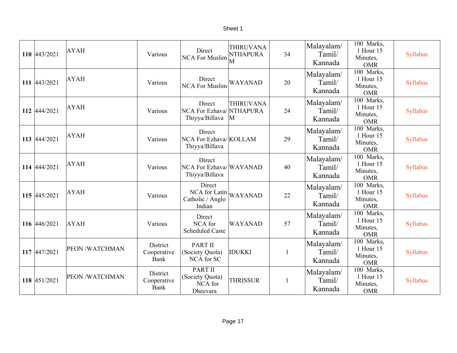| 110 443/2021 | <b>AYAH</b>    | Various                                | Direct<br><b>NCA For Muslim</b>                          | <b>THIRUVANA</b><br><b>NTHAPURA</b><br>M | 34                      | Malayalam/<br>Tamil/<br>Kannada | 100 Marks,<br>1 Hour 15<br>Minutes,<br><b>OMR</b> | Syllabus |
|--------------|----------------|----------------------------------------|----------------------------------------------------------|------------------------------------------|-------------------------|---------------------------------|---------------------------------------------------|----------|
| 111 443/2021 | <b>AYAH</b>    | Various                                | Direct<br><b>NCA For Muslim</b>                          | <b>WAYANAD</b>                           | 20                      | Malayalam/<br>Tamil/<br>Kannada | 100 Marks,<br>1 Hour 15<br>Minutes,<br><b>OMR</b> | Syllabus |
| 112 444/2021 | <b>AYAH</b>    | Various                                | Direct<br>NCA For Ezhava/NTHAPURA<br>Thiyya/Billava      | <b>THIRUVANA</b><br>M                    | 24                      | Malayalam/<br>Tamil/<br>Kannada | 100 Marks,<br>1 Hour 15<br>Minutes,<br><b>OMR</b> | Syllabus |
| 113 444/2021 | <b>AYAH</b>    | Various                                | Direct<br>NCA For Ezhava/KOLLAM<br>Thiyya/Billava        |                                          | 29                      | Malayalam/<br>Tamil/<br>Kannada | 100 Marks,<br>1 Hour 15<br>Minutes,<br><b>OMR</b> | Syllabus |
| 114 444/2021 | <b>AYAH</b>    | Various                                | Direct<br>NCA For Ezhava/WAYANAD<br>Thiyya/Billava       |                                          | 40                      | Malayalam/<br>Tamil/<br>Kannada | 100 Marks,<br>1 Hour 15<br>Minutes,<br><b>OMR</b> | Syllabus |
| 115 445/2021 | <b>AYAH</b>    | Various                                | Direct<br>NCA for Latin<br>Catholic / Anglo<br>Indian    | <b>WAYANAD</b>                           | 22                      | Malayalam/<br>Tamil/<br>Kannada | 100 Marks,<br>1 Hour 15<br>Minutes,<br><b>OMR</b> | Syllabus |
| 116 446/2021 | <b>AYAH</b>    | Various                                | Direct<br>NCA for<br><b>Scheduled Caste</b>              | WAYANAD                                  | 57                      | Malayalam/<br>Tamil/<br>Kannada | 100 Marks,<br>1 Hour 15<br>Minutes,<br><b>OMR</b> | Syllabus |
| 117 447/2021 | PEON /WATCHMAN | <b>District</b><br>Cooperative<br>Bank | <b>PART II</b><br>(Society Quota)<br><b>NCA</b> for SC   | <b>IDUKKI</b>                            | $\mathbf{1}$            | Malayalam/<br>Tamil/<br>Kannada | 100 Marks,<br>1 Hour 15<br>Minutes,<br><b>OMR</b> | Syllabus |
| 118 451/2021 | PEON /WATCHMAN | District<br>Cooperative<br>Bank        | <b>PART II</b><br>(Society Quota)<br>NCA for<br>Dheevara | <b>THRISSUR</b>                          | $\overline{\mathbf{1}}$ | Malayalam/<br>Tamil/<br>Kannada | 100 Marks,<br>1 Hour 15<br>Minutes,<br><b>OMR</b> | Syllabus |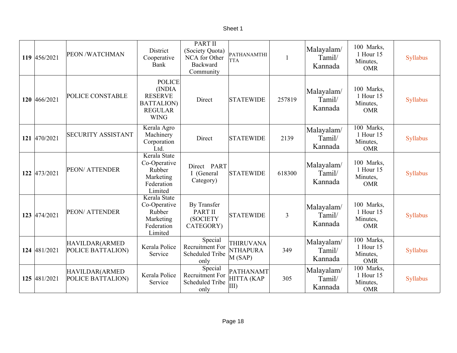| 119 456/2021 | PEON /WATCHMAN                      | District<br>Cooperative<br>Bank                                                                  | <b>PART II</b><br>(Society Quota)<br>NCA for Other<br>Backward<br>Community | PATHANAMTHI<br><b>TTA</b>                      | $\mathbf{1}$   | Malayalam/<br>Tamil/<br>Kannada | 100 Marks,<br>1 Hour 15<br>Minutes,<br><b>OMR</b> | Syllabus |
|--------------|-------------------------------------|--------------------------------------------------------------------------------------------------|-----------------------------------------------------------------------------|------------------------------------------------|----------------|---------------------------------|---------------------------------------------------|----------|
| 120 466/2021 | POLICE CONSTABLE                    | <b>POLICE</b><br>(INDIA<br><b>RESERVE</b><br><b>BATTALION</b> )<br><b>REGULAR</b><br><b>WING</b> | Direct                                                                      | <b>STATEWIDE</b>                               | 257819         | Malayalam/<br>Tamil/<br>Kannada | 100 Marks,<br>1 Hour 15<br>Minutes,<br><b>OMR</b> | Syllabus |
| 121 470/2021 | <b>SECURITY ASSISTANT</b>           | Kerala Agro<br>Machinery<br>Corporation<br>Ltd.                                                  | Direct                                                                      | <b>STATEWIDE</b>                               | 2139           | Malayalam/<br>Tamil/<br>Kannada | 100 Marks,<br>1 Hour 15<br>Minutes,<br><b>OMR</b> | Syllabus |
| 122 473/2021 | <b>PEON/ATTENDER</b>                | Kerala State<br>Co-Operative<br>Rubber<br>Marketing<br>Federation<br>Limited                     | Direct PART<br>I (General<br>Category)                                      | <b>STATEWIDE</b>                               | 618300         | Malayalam/<br>Tamil/<br>Kannada | 100 Marks,<br>1 Hour 15<br>Minutes,<br><b>OMR</b> | Syllabus |
| 123 474/2021 | <b>PEON/ATTENDER</b>                | Kerala State<br>Co-Operative<br>Rubber<br>Marketing<br>Federation<br>Limited                     | By Transfer<br><b>PART II</b><br>(SOCIETY<br>CATEGORY)                      | <b>STATEWIDE</b>                               | $\overline{3}$ | Malayalam/<br>Tamil/<br>Kannada | 100 Marks,<br>1 Hour 15<br>Minutes,<br><b>OMR</b> | Syllabus |
| 124 481/2021 | HAVILDAR(ARMED<br>POLICE BATTALION) | Kerala Police<br>Service                                                                         | Special<br>Recruitment For<br><b>Scheduled Tribe</b><br>only                | <b>THIRUVANA</b><br><b>NTHAPURA</b><br>M(SAP)  | 349            | Malayalam/<br>Tamil/<br>Kannada | 100 Marks,<br>1 Hour 15<br>Minutes,<br><b>OMR</b> | Syllabus |
| 125 481/2021 | HAVILDAR(ARMED<br>POLICE BATTALION) | Kerala Police<br>Service                                                                         | Special<br>Recruitment For<br><b>Scheduled Tribe</b><br>only                | <b>PATHANAMT</b><br>HITTA (KAP<br>$\vert$ III) | 305            | Malayalam/<br>Tamil/<br>Kannada | 100 Marks,<br>1 Hour 15<br>Minutes,<br><b>OMR</b> | Syllabus |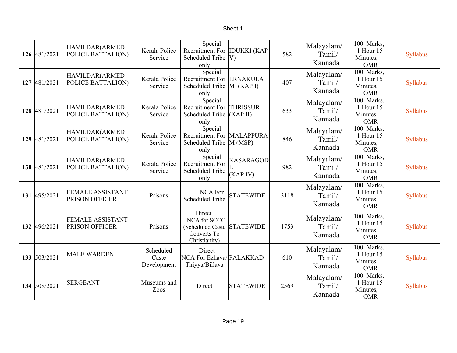| 126 481/2021 | HAVILDAR(ARMED<br>POLICE BATTALION)              | Kerala Police<br>Service          | Special<br>Recruitment For IDUKKI (KAP<br><b>Scheduled Tribe</b><br>only             | $ V\rangle$                  | 582  | Malayalam/<br>Tamil/<br>Kannada | 100 Marks,<br>1 Hour 15<br>Minutes,<br><b>OMR</b> | Syllabus |
|--------------|--------------------------------------------------|-----------------------------------|--------------------------------------------------------------------------------------|------------------------------|------|---------------------------------|---------------------------------------------------|----------|
| 127 481/2021 | HAVILDAR(ARMED<br>POLICE BATTALION)              | Kerala Police<br>Service          | Special<br>Recruitment For ERNAKULA<br>Scheduled Tribe  M (KAP I)<br>only            |                              | 407  | Malayalam/<br>Tamil/<br>Kannada | 100 Marks,<br>1 Hour 15<br>Minutes,<br><b>OMR</b> | Syllabus |
| 128 481/2021 | HAVILDAR(ARMED<br>POLICE BATTALION)              | Kerala Police<br>Service          | Special<br>Recruitment For THRISSUR<br><b>Scheduled Tribe</b><br>only                | (KAPII)                      | 633  | Malayalam/<br>Tamil/<br>Kannada | 100 Marks,<br>1 Hour 15<br>Minutes,<br><b>OMR</b> | Syllabus |
| 129 481/2021 | HAVILDAR(ARMED<br>POLICE BATTALION)              | Kerala Police<br>Service          | Special<br>Recruitment For MALAPPURA<br><b>Scheduled Tribe</b><br>only               | M(MSP)                       | 846  | Malayalam/<br>Tamil/<br>Kannada | 100 Marks,<br>1 Hour 15<br>Minutes,<br><b>OMR</b> | Syllabus |
| 130 481/2021 | HAVILDAR(ARMED<br>POLICE BATTALION)              | Kerala Police<br>Service          | Special<br><b>Recruitment For</b><br><b>Scheduled Tribe</b><br>only                  | <b>KASARAGOD</b><br>(KAP IV) | 982  | Malayalam/<br>Tamil/<br>Kannada | 100 Marks,<br>1 Hour 15<br>Minutes,<br><b>OMR</b> | Syllabus |
| 131 495/2021 | <b>FEMALE ASSISTANT</b><br>PRISON OFFICER        | Prisons                           | <b>NCA For</b><br><b>Scheduled Tribe</b>                                             | <b>STATEWIDE</b>             | 3118 | Malayalam/<br>Tamil/<br>Kannada | 100 Marks,<br>1 Hour 15<br>Minutes,<br><b>OMR</b> | Syllabus |
| 132 496/2021 | <b>FEMALE ASSISTANT</b><br><b>PRISON OFFICER</b> | Prisons                           | Direct<br>NCA for SCCC<br>(Scheduled Caste STATEWIDE<br>Converts To<br>Christianity) |                              | 1753 | Malayalam/<br>Tamil/<br>Kannada | 100 Marks,<br>1 Hour 15<br>Minutes,<br><b>OMR</b> | Syllabus |
| 133 503/2021 | <b>MALE WARDEN</b>                               | Scheduled<br>Caste<br>Development | Direct<br>NCA For Ezhava/ PALAKKAD<br>Thiyya/Billava                                 |                              | 610  | Malayalam/<br>Tamil/<br>Kannada | 100 Marks,<br>1 Hour 15<br>Minutes,<br><b>OMR</b> | Syllabus |
| 134 508/2021 | <b>SERGEANT</b>                                  | Museums and<br>Zoos               | Direct                                                                               | <b>STATEWIDE</b>             | 2569 | Malayalam/<br>Tamil/<br>Kannada | 100 Marks,<br>1 Hour 15<br>Minutes,<br><b>OMR</b> | Syllabus |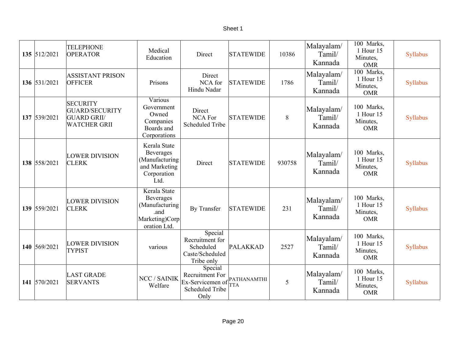| 135 512/2021 | <b>TELEPHONE</b><br><b>OPERATOR</b>                                            | Medical<br>Education                                                                       | Direct                                                                           | <b>STATEWIDE</b>          | 10386  | Malayalam/<br>Tamil/<br>Kannada | 100 Marks,<br>1 Hour 15<br>Minutes,<br><b>OMR</b>              | Syllabus |
|--------------|--------------------------------------------------------------------------------|--------------------------------------------------------------------------------------------|----------------------------------------------------------------------------------|---------------------------|--------|---------------------------------|----------------------------------------------------------------|----------|
| 136 531/2021 | <b>ASSISTANT PRISON</b><br><b>OFFICER</b>                                      | Prisons                                                                                    | Direct<br>NCA for<br>Hindu Nadar                                                 | <b>STATEWIDE</b>          | 1786   | Malayalam/<br>Tamil/<br>Kannada | $\overline{100}$ Marks,<br>1 Hour 15<br>Minutes,<br><b>OMR</b> | Syllabus |
| 137 539/2021 | <b>SECURITY</b><br>GUARD/SECURITY<br><b>GUARD GRII/</b><br><b>WATCHER GRII</b> | Various<br>Government<br>Owned<br>Companies<br>Boards and<br>Corporations                  | Direct<br><b>NCA For</b><br><b>Scheduled Tribe</b>                               | <b>STATEWIDE</b>          | 8      | Malayalam/<br>Tamil/<br>Kannada | 100 Marks,<br>1 Hour 15<br>Minutes,<br><b>OMR</b>              | Syllabus |
| 138 558/2021 | <b>LOWER DIVISION</b><br><b>CLERK</b>                                          | Kerala State<br><b>Beverages</b><br>(Manufacturing<br>and Marketing<br>Corporation<br>Ltd. | Direct                                                                           | <b>STATEWIDE</b>          | 930758 | Malayalam/<br>Tamil/<br>Kannada | 100 Marks,<br>1 Hour 15<br>Minutes,<br><b>OMR</b>              | Syllabus |
| 139 559/2021 | <b>LOWER DIVISION</b><br><b>CLERK</b>                                          | Kerala State<br>Beverages<br>(Manufacturing<br>.and<br>Marketing)Corp<br>oration Ltd.      | By Transfer                                                                      | <b>STATEWIDE</b>          | 231    | Malayalam/<br>Tamil/<br>Kannada | 100 Marks,<br>1 Hour 15<br>Minutes,<br><b>OMR</b>              | Syllabus |
| 140 569/2021 | <b>LOWER DIVISION</b><br><b>TYPIST</b>                                         | various                                                                                    | Special<br>Recruitment for<br>Scheduled<br>Caste/Scheduled<br>Tribe only         | PALAKKAD                  | 2527   | Malayalam/<br>Tamil/<br>Kannada | 100 Marks,<br>1 Hour 15<br>Minutes,<br><b>OMR</b>              | Syllabus |
| 141 570/2021 | <b>LAST GRADE</b><br><b>SERVANTS</b>                                           | NCC / SAINIK<br>Welfare                                                                    | Special<br>Recruitment For<br>Ex-Servicemen of<br><b>Scheduled Tribe</b><br>Only | PATHANAMTHI<br><b>TTA</b> | 5      | Malayalam/<br>Tamil/<br>Kannada | 100 Marks,<br>1 Hour 15<br>Minutes,<br><b>OMR</b>              | Syllabus |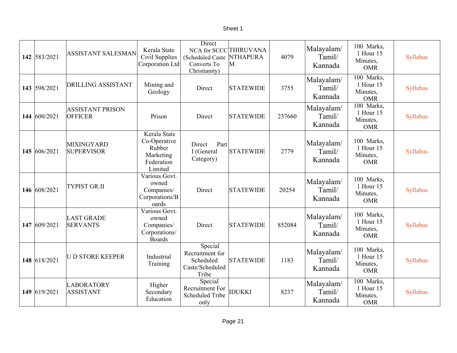| 142 583/2021 | <b>ASSISTANT SALESMAN</b>                 | Kerala State<br>Civil Supplies<br>Corporation Ltd                            | Direct<br>NCA for SCCC THIRUVANA<br>(Scheduled Caste<br>Converts To<br>Christianity) | <b>NTHAPURA</b><br>M | 4079   | Malayalam/<br>Tamil/<br>Kannada | 100 Marks,<br>1 Hour 15<br>Minutes,<br><b>OMR</b> | Syllabus |
|--------------|-------------------------------------------|------------------------------------------------------------------------------|--------------------------------------------------------------------------------------|----------------------|--------|---------------------------------|---------------------------------------------------|----------|
| 143 598/2021 | <b>DRILLING ASSISTANT</b>                 | Mining and<br>Geology                                                        | Direct                                                                               | <b>STATEWIDE</b>     | 3755   | Malayalam/<br>Tamil/<br>Kannada | 100 Marks,<br>1 Hour 15<br>Minutes,<br><b>OMR</b> | Syllabus |
| 144 600/2021 | <b>ASSISTANT PRISON</b><br><b>OFFICER</b> | Prison                                                                       | Direct                                                                               | <b>STATEWIDE</b>     | 237660 | Malayalam/<br>Tamil/<br>Kannada | 100 Marks,<br>1 Hour 15<br>Minutes,<br><b>OMR</b> | Syllabus |
| 145 606/2021 | <b>MIXINGYARD</b><br><b>SUPERVISOR</b>    | Kerala State<br>Co-Operative<br>Rubber<br>Marketing<br>Federation<br>Limited | Part<br>Direct<br>I (General<br>Category)                                            | <b>STATEWIDE</b>     | 2779   | Malayalam/<br>Tamil/<br>Kannada | 100 Marks,<br>1 Hour 15<br>Minutes,<br><b>OMR</b> | Syllabus |
| 146 608/2021 | <b>TYPIST GR.II</b>                       | Various Govt.<br>owned<br>Companies/<br>Corporations/B<br>oards              | Direct                                                                               | <b>STATEWIDE</b>     | 20254  | Malayalam/<br>Tamil/<br>Kannada | 100 Marks,<br>1 Hour 15<br>Minutes,<br><b>OMR</b> | Syllabus |
| 147 609/2021 | <b>LAST GRADE</b><br><b>SERVANTS</b>      | Various Govt.<br>owned<br>Companies/<br>Corporations/<br><b>Boards</b>       | Direct                                                                               | <b>STATEWIDE</b>     | 852084 | Malayalam/<br>Tamil/<br>Kannada | 100 Marks,<br>1 Hour 15<br>Minutes,<br><b>OMR</b> | Syllabus |
| 148 618/2021 | <b>U D STORE KEEPER</b>                   | Industrial<br>Training                                                       | Special<br>Recruitment for<br>Scheduled<br>Caste/Scheduled<br>Tribe                  | <b>STATEWIDE</b>     | 1183   | Malayalam/<br>Tamil/<br>Kannada | 100 Marks,<br>1 Hour 15<br>Minutes,<br><b>OMR</b> | Syllabus |
| 149 619/2021 | LABORATORY<br><b>ASSISTANT</b>            | Higher<br>Secondary<br>Education                                             | Special<br>Recruitment For<br><b>Scheduled Tribe</b><br>only                         | <b>IDUKKI</b>        | 8237   | Malayalam/<br>Tamil/<br>Kannada | 100 Marks,<br>1 Hour 15<br>Minutes,<br><b>OMR</b> | Syllabus |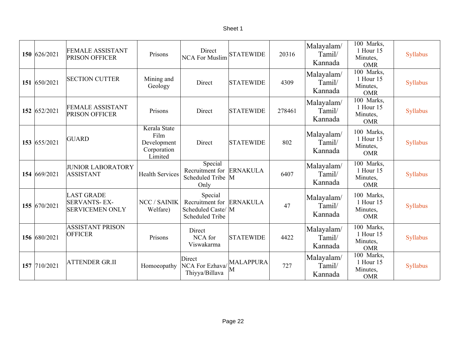| 150 626/2021 | <b>FEMALE ASSISTANT</b><br>PRISON OFFICER                          | Prisons                                                       | Direct<br><b>NCA For Muslim</b>                                                     | <b>STATEWIDE</b> | 20316  | Malayalam/<br>Tamil/<br>Kannada | 100 Marks,<br>1 Hour 15<br>Minutes,<br><b>OMR</b>              | Syllabus |
|--------------|--------------------------------------------------------------------|---------------------------------------------------------------|-------------------------------------------------------------------------------------|------------------|--------|---------------------------------|----------------------------------------------------------------|----------|
| 151 650/2021 | <b>SECTION CUTTER</b>                                              | Mining and<br>Geology                                         | Direct                                                                              | <b>STATEWIDE</b> | 4309   | Malayalam/<br>Tamil/<br>Kannada | 100 Marks,<br>1 Hour 15<br>Minutes,<br><b>OMR</b>              | Syllabus |
| 152 652/2021 | <b>FEMALE ASSISTANT</b><br>PRISON OFFICER                          | Prisons                                                       | Direct                                                                              | <b>STATEWIDE</b> | 278461 | Malayalam/<br>Tamil/<br>Kannada | 100 Marks,<br>1 Hour 15<br>Minutes,<br><b>OMR</b>              | Syllabus |
| 153 655/2021 | <b>GUARD</b>                                                       | Kerala State<br>Film<br>Development<br>Corporation<br>Limited | Direct                                                                              | <b>STATEWIDE</b> | 802    | Malayalam/<br>Tamil/<br>Kannada | 100 Marks,<br>1 Hour 15<br>Minutes,<br><b>OMR</b>              | Syllabus |
| 154 669/2021 | <b>JUNIOR LABORATORY</b><br><b>ASSISTANT</b>                       | <b>Health Services</b>                                        | Special<br>Recruitment for<br>Scheduled Tribe M<br>Only                             | <b>ERNAKULA</b>  | 6407   | Malayalam/<br>Tamil/<br>Kannada | 100 Marks,<br>1 Hour 15<br>Minutes,<br><b>OMR</b>              | Syllabus |
| 155 670/2021 | <b>LAST GRADE</b><br><b>SERVANTS-EX-</b><br><b>SERVICEMEN ONLY</b> | NCC / SAINIK<br>Welfare)                                      | Special<br>Recruitment for ERNAKULA<br>Scheduled Caste/ M<br><b>Scheduled Tribe</b> |                  | 47     | Malayalam/<br>Tamil/<br>Kannada | 100 Marks,<br>1 Hour 15<br>Minutes,<br><b>OMR</b>              | Syllabus |
| 156 680/2021 | <b>ASSISTANT PRISON</b><br><b>OFFICER</b>                          | Prisons                                                       | Direct<br>NCA for<br>Viswakarma                                                     | <b>STATEWIDE</b> | 4422   | Malayalam/<br>Tamil/<br>Kannada | 100 Marks,<br>1 Hour 15<br>Minutes,<br><b>OMR</b>              | Syllabus |
| 157 710/2021 | <b>ATTENDER GR.II</b>                                              | Homoeopathy                                                   | Direct<br>NCA For Ezhava/<br>Thiyya/Billava                                         | <b>MALAPPURA</b> | 727    | Malayalam/<br>Tamil/<br>Kannada | $\overline{100}$ Marks,<br>1 Hour 15<br>Minutes,<br><b>OMR</b> | Syllabus |